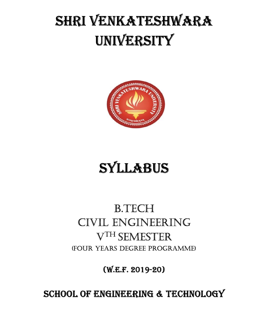# SHRI VENKATESHWARA UNIVERSITY



## **SYLLABUS**

### B.TECH Civil EnginEEring vTH SEMESTEr (Four YEarS DEgrEE PrograMME)

(W.E.f. 2019-20)

SCHOOl Of ENGINEERING & TECHNOlOGY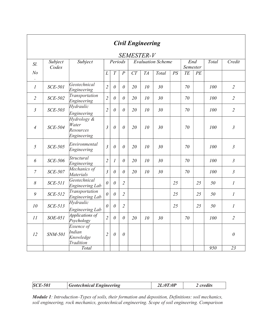|                           |                  |                                                       |                |                |                | <b>Civil Engineering</b><br><b>SEMESTER-V</b> |                 |                          |                 |                 |                 |       |                       |
|---------------------------|------------------|-------------------------------------------------------|----------------|----------------|----------------|-----------------------------------------------|-----------------|--------------------------|-----------------|-----------------|-----------------|-------|-----------------------|
| Sl.                       | Subject<br>Codes | Subject                                               |                | Periods        |                |                                               |                 | <b>Evaluation Scheme</b> |                 | End<br>Semester |                 | Total | Credit                |
| N <sub>o</sub><br>$\cdot$ |                  |                                                       | L              | $\overline{T}$ | $\overline{P}$ | $\overline{CT}$                               | $\overline{TA}$ | Total                    | $\overline{PS}$ | $\overline{TE}$ | $\overline{PE}$ |       |                       |
| $\boldsymbol{l}$          | <b>SCE-501</b>   | Geotechnical<br>Engineering                           | $\overline{2}$ | $\theta$       | $\theta$       | 20                                            | 10              | 30 <sup>°</sup>          |                 | 70              |                 | 100   | $\overline{2}$        |
| $\overline{2}$            | SCE-502          | Transportation<br>Engineering                         | $\overline{2}$ | $\theta$       | $\theta$       | 20                                            | 10              | 30 <sup>°</sup>          |                 | 70              |                 | 100   | $\overline{2}$        |
| $\mathfrak{Z}$            | <b>SCE-503</b>   | Hydraulic<br>Engineering                              | $\overline{2}$ | $\theta$       | $\theta$       | 20                                            | 10              | 30 <sub>2</sub>          |                 | 70              |                 | 100   | $\overline{2}$        |
| $\overline{4}$            | <b>SCE-504</b>   | Hydrology &<br>Water<br>Resources<br>Engineering      | $\mathfrak{Z}$ | $\theta$       | $\theta$       | 20                                            | 10              | 30                       |                 | 70              |                 | 100   | $\mathfrak{Z}$        |
| 5                         | <b>SCE-505</b>   | Environmental<br>Engineering                          | $\mathfrak{Z}$ | $\theta$       | $\theta$       | 20                                            | 10              | 30 <sup>°</sup>          |                 | 70              |                 | 100   | $\mathfrak{Z}$        |
| 6                         | SCE-506          | Structural<br>Engineering                             | $\overline{2}$ | 1              | $\theta$       | 20                                            | 10              | 30 <sup>°</sup>          |                 | 70              |                 | 100   | $\mathfrak{Z}$        |
| $\overline{7}$            | SCE-507          | Mechanics of<br><b>Materials</b>                      | $\mathfrak{Z}$ | $\theta$       | $\theta$       | 20                                            | 10              | 30 <sup>°</sup>          |                 | 70              |                 | 100   | $\mathfrak{Z}$        |
| 8                         | <b>SCE-511</b>   | Geotechnical<br><b>Engineering Lab</b>                | $\theta$       | $\theta$       | $\overline{2}$ |                                               |                 |                          | 25              |                 | 25              | 50    | $\mathcal{I}$         |
| 9                         | SCE-512          | <b>Transportation</b><br><b>Engineering Lab</b>       | $\theta$       | $\theta$       | $\overline{2}$ |                                               |                 |                          | 25              |                 | 25              | 50    | $\mathcal{I}$         |
| 10                        | $SCE-513$        | Hydraulic<br><b>Engineering Lab</b>                   | 0              | $\theta$       | $\overline{2}$ |                                               |                 |                          | 25              |                 | 25              | 50    | $\mathcal{I}$         |
| 11                        | SOE-051          | <i>Applications of</i><br>Psychology                  | $\overline{2}$ | $\theta$       | $\theta$       | 20                                            | 10              | 30                       |                 | 70              |                 | 100   | $\overline{2}$        |
| 12                        | SNM-501          | Essence of<br><b>Indian</b><br>Knowledge<br>Tradition | $\overline{2}$ | $\theta$       | $\theta$       |                                               |                 |                          |                 |                 |                 |       | $\boldsymbol{\theta}$ |
|                           |                  | Total                                                 |                |                |                |                                               |                 |                          |                 |                 |                 | 950   | 23                    |

| <b>SCE-501</b> | <b>Geotechnical Engineering</b> | 2L:0T:0P | credits |
|----------------|---------------------------------|----------|---------|
|----------------|---------------------------------|----------|---------|

Module 1: Introduction–Types of soils, their formation and deposition, Definitions: soil mechanics, soil engineering, rock mechanics, geotechnical engineering. Scope of soil engineering. Comparison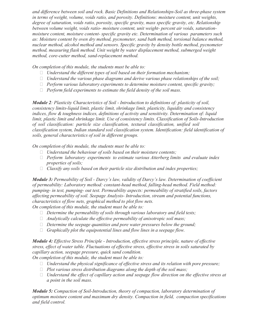and difference between soil and rock. Basic Definitions and Relationships-Soil as three-phase system in terms of weight, volume, voids ratio, and porosity. Definitions: moisture content, unit weights, degree of saturation, voids ratio, porosity, specific gravity, mass specific gravity, etc. Relationship between volume weight, voids ratio- moisture content, unit weight- percent air voids, saturationmoisture content, moisture content- specific gravity etc. Determination of various parameters such as: Moisture content by oven dry method, pycnometer, sand bath method, torsional balance method, nuclear method, alcohol method and sensors. Specific gravity by density bottle method, pycnometer method, measuring flask method. Unit weight by water displacement method, submerged weight method, core-cutter method, sand-replacement method.

On completion of this module, the students must be able to:

- $\Box$  Understand the different types of soil based on their formation mechanism;
- $\Box$  Understand the various phase diagrams and derive various phase relationships of the soil;
- $\Box$  Perform various laboratory experiments to determine moisture content, specific gravity;
- $\Box$  Perform field experiments to estimate the field density of the soil mass.

Module 2: Plasticity Characteristics of Soil - Introduction to definitions of: plasticity of soil, consistency limits-liquid limit, plastic limit, shrinkage limit, plasticity, liquidity and consistency indices, flow & toughness indices, definitions of activity and sensitivity. Determination of: liquid limit, plastic limit and shrinkage limit. Use of consistency limits. Classification of Soils-Introduction of soil classification: particle size classification, textural classification, unified soil classification system, Indian standard soil classification system. Identification: field identification of soils, general characteristics of soil in different groups.

On completion of this module, the students must be able to:

- $\Box$  Understand the behaviour of soils based on their moisture contents;
- $\Box$  Perform laboratory experiments to estimate various Atterberg limits and evaluate index properties of soils;
- $\Box$  Classify any soils based on their particle size distribution and index properties;

Module 3: Permeability of Soil - Darcy's law, validity of Darcy's law. Determination of coefficient of permeability: Laboratory method: constant-head method, falling-head method. Field method: pumping- in test, pumping- out test. Permeability aspects: permeability of stratified soils, factors affecting permeability of soil. Seepage Analysis- Introduction, stream and potential functions, characteristics of flow nets, graphical method to plot flow nets. On completion of this module, the student must be able to:

 $\Box$  Determine the permeability of soils through various laboratory and field tests;

- $\Box$  Analytically calculate the effective permeability of anisotropic soil mass;
- $\Box$  Determine the seepage quantities and pore water pressures below the ground;
- $\Box$  Graphically plot the equipotential lines and flow lines in a seepage flow.

Module 4: Effective Stress Principle - Introduction, effective stress principle, nature of effective stress, effect of water table. Fluctuations of effective stress, effective stress in soils saturated by capillary action, seepage pressure, quick sand condition.

On completion of this module, the student must be able to:

- $\Box$  Understand the physical significance of effective stress and its relation with pore pressure;
- $\Box$  Plot various stress distribution diagrams along the depth of the soil mass;
- $\Box$  Understand the effect of capillary action and seepage flow direction on the effective stress at a point in the soil mass.

Module 5: Compaction of Soil-Introduction, theory of compaction, laboratory determination of optimum moisture content and maximum dry density. Compaction in field, compaction specifications and field control.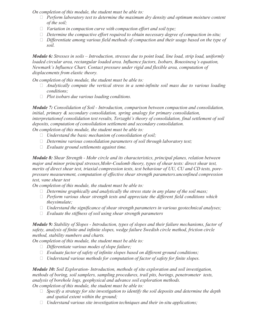On completion of this module, the student must be able to:

- $\Box$  Perform laboratory test to determine the maximum dry density and optimum moisture content of the soil;
- $\Box$  Variation in compaction curve with compaction effort and soil type;
- $\Box$  Determine the compactive effort required to obtain necessary degree of compaction in-situ;
- $\Box$  Differentiate among various field methods of compaction and their usage based on the type of soil.

Module 6: Stresses in soils – Introduction, stresses due to point load, line load, strip load, uniformly loaded circular area, rectangular loaded area. Influence factors, Isobars, Boussinesq's equation, Newmark's Influence Chart. Contact pressure under rigid and flexible area, computation of displacements from elastic theory.

On completion of this module, the student must be able to:

- $\Box$  Analytically compute the vertical stress in a semi-infinite soil mass due to various loading conditions;
- $\Box$  Plot isobars due various loading conditions.

Module 7: Consolidation of Soil - Introduction, comparison between compaction and consolidation, initial, primary & secondary consolidation, spring analogy for primary consolidation, interpretation of consolidation test results, Terzaghi's theory of consolidation, final settlement of soil deposits, computation of consolidation settlement and secondary consolidation. On completion of this module, the student must be able to:

- $\Box$  Understand the basic mechanism of consolidation of soil;
- $\Box$  Determine various consolidation parameters of soil through laboratory test;
- $\Box$  Evaluate ground settlements against time.

Module 8: Shear Strength - Mohr circle and its characteristics, principal planes, relation between major and minor principal stresses,Mohr-Coulomb theory, types of shear tests: direct shear test, merits of direct shear test, triaxial compression tests, test behaviour of UU, CU and CD tests, porepressure measurement, computation of effective shear strength parameters.unconfined compression test, vane shear test

On completion of this module, the student must be able to:

- $\Box$  Determine graphically and analytically the stress state in any plane of the soil mass;
- $\Box$  Perform various shear strength tests and appreciate the different field conditions which they simulate;
- $\Box$  Understand the significance of shear strength parameters in various geotechnical analyses;
- $\Box$  Evaluate the stiffness of soil using shear strength parameters

Module 9: Stability of Slopes - Introduction, types of slopes and their failure mechanisms, factor of safety, analysis of finite and infinite slopes, wedge failure Swedish circle method, friction circle method, stability numbers and charts.

On completion of this module, the student must be able to:

- $\Box$  Differentiate various modes of slope failure;
- $\Box$  Evaluate factor of safety of infinite slopes based on different ground conditions;
- $\Box$  Understand various methods for computation of factor of safety for finite slopes.

Module 10: Soil Exploration- Introduction, methods of site exploration and soil investigation, methods of boring, soil samplers, sampling procedures, trail pits, borings, penetrometer tests, analysis of borehole logs, geophysical and advance soil exploration methods. On completion of this module, the student must be able to:

- $\Box$  Specify a strategy for site investigation to identify the soil deposits and determine the depth and spatial extent within the ground;
- $\Box$  Understand various site investigation techniques and their in-situ applications;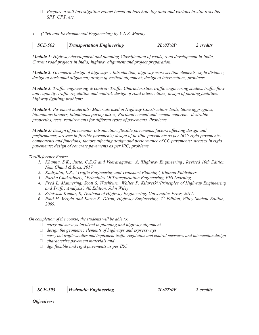- $\Box$  Prepare a soil investigation report based on borehole log data and various in-situ tests like SPT, CPT, etc.
- 1. (Civil and Environmental Engineering) by V.N.S. Murthy

| SCE-502 | <i>Transportation Engineering</i> | 2L:0T:0P | 2 <i>credits</i> |
|---------|-----------------------------------|----------|------------------|
|         |                                   |          |                  |

Module 1: Highway development and planning-Classification of roads, road development in India, Current road projects in India; highway alignment and project preparation.

Module 2: Geometric design of highways-: Introduction; highway cross section elements; sight distance, design of horizontal alignment; design of vertical alignment; design of intersections, problems

**Module 3**: Traffic engineering  $\&$  control- Traffic Characteristics, traffic engineering studies, traffic flow and capacity, traffic regulation and control; design of road intersections; design of parking facilities; highway lighting; problems

Module 4: Pavement materials- Materials used in Highway Construction- Soils, Stone aggregates, bituminous binders, bituminous paving mixes; Portland cement and cement concrete: desirable properties, tests, requirements for different types of pavements. Problems

Module 5: Design of pavements- Introduction; flexible pavements, factors affecting design and performance; stresses in flexible pavements; design of flexible pavements as per IRC; rigid pavementscomponents and functions; factors affecting design and performance of CC pavements; stresses in rigid pavements; design of concrete pavements as per IRC; problems

#### Text/Reference Books:

- 1. Khanna, S.K., Justo, C.E.G and Veeraragavan, A, 'Highway Engineering', Revised 10th Edition, Nem Chand & Bros, 2017
- 2. Kadiyalai, L.R., ' Traffic Engineering and Transport Planning', Khanna Publishers.
- 3. Partha Chakraborty, ' Principles Of Transportation Engineering, PHI Learning,
- 4. Fred L. Mannering, Scott S. Washburn, Walter P. Kilareski,'Principles of Highway Engineering and Traffic Analysis', 4th Edition, John Wiley
- 5. Srinivasa Kumar, R, Textbook of Highway Engineering, Universities Press, 2011.
- 6. Paul H. Wright and Karen K. Dixon, Highway Engineering,  $7<sup>th</sup>$  Edition, Wiley Student Edition, 2009.

On completion of the course, the students will be able to:

- $\Box$  carry out surveys involved in planning and highway alignment
- $\Box$  design the geometric elements of highways and expressways
- $\Box$  carry out traffic studies and implement traffic regulation and control measures and intersection design
- $\Box$  characterize pavement materials and
- $\Box$  dgn flexible and rigid pavements as per IRC

Objectives: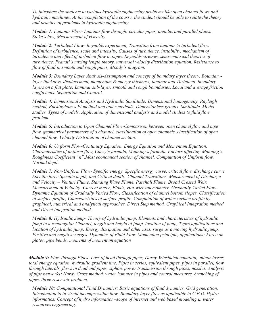To introduce the students to various hydraulic engineering problems like open channel flows and hydraulic machines. At the completion of the course, the student should be able to relate the theory and practice of problems in hydraulic engineering

Module 1: Laminar Flow- Laminar flow through: circular pipes, annulus and parallel plates. Stoke's law, Measurement of viscosity.

Module 2: Turbulent Flow- Reynolds experiment, Transition from laminar to turbulent flow. Definition of turbulence, scale and intensity, Causes of turbulence, instability, mechanism of turbulence and effect of turbulent flow in pipes. Reynolds stresses, semi-empirical theories of turbulence, Prandtl's mixing length theory, universal velocity distribution equation. Resistance to flow of fluid in smooth and rough pipes, Moody's diagram.

Module 3: Boundary Layer Analysis-Assumption and concept of boundary layer theory. Boundarylayer thickness, displacement, momentum & energy thickness, laminar and Turbulent boundary layers on a flat plate; Laminar sub-layer, smooth and rough boundaries. Local and average friction coefficients. Separation and Control.

Module 4: Dimensional Analysis and Hydraulic Similitude: Dimensional homogeneity, Rayleigh method, Buckingham's Pi method and other methods. Dimensionless groups. Similitude, Model studies, Types of models. Application of dimensional analysis and model studies to fluid flow problem.

Module 5: Introduction to Open Channel Flow-Comparison between open channel flow and pipe flow, geometrical parameters of a channel, classification of open channels, classification of open channel flow, Velocity Distribution of channel section.

Module 6: Uniform Flow-Continuity Equation, Energy Equation and Momentum Equation, Characteristics of uniform flow, Chezy's formula, Manning's formula. Factors affecting Manning's Roughness Coefficient "n".Most economical section of channel. Computation of Uniform flow, Normal depth.

Module 7: Non-Uniform Flow- Specific energy, Specific energy curve, critical flow, discharge curve Specific force Specific depth, and Critical depth. Channel Transitions. Measurement of Discharge and Velocity – Venturi Flume, Standing Wave Flume, Parshall Flume, Broad Crested Weir. Measurement of Velocity- Current meter, Floats, Hot-wire anemometer. Gradually Varied Flow-Dynamic Equation of Gradually Varied Flow, Classification of channel bottom slopes, Classification of surface profile, Characteristics of surface profile. Computation of water surface profile by graphical, numerical and analytical approaches. Direct Step method, Graphical Integration method and Direct integration method.

Module 8: Hydraulic Jump- Theory of hydraulic jump, Elements and characteristics of hydraulic jump in a rectangular Channel, length and height of jump, location of jump, Types,applications and location of hydraulic jump. Energy dissipation and other uses, surge as a moving hydraulic jump. Positive and negative surges. Dynamics of Fluid Flow-Momentum principle, applications: Force on plates, pipe bends, moments of momentum equation

Module 9: Flow through Pipes: Loss of head through pipes, Darcy-Wiesbatch equation, minor losses, total energy equation, hydraulic gradient line, Pipes in series, equivalent pipes, pipes in parallel, flow through laterals, flows in dead end pipes, siphon, power transmission through pipes, nozzles. Analysis of pipe networks: Hardy Cross method, water hammer in pipes and control measures, branching of pipes, three reservoir problem.

Module 10: Computational Fluid Dynamics: Basic equations of fluid dynamics, Grid generation, Introduction to in viscid incompressible flow, Boundary layer flow as applicable to C.F.D. Hydro informatics: Concept of hydro informatics –scope of internet and web based modeling in water resources engineering.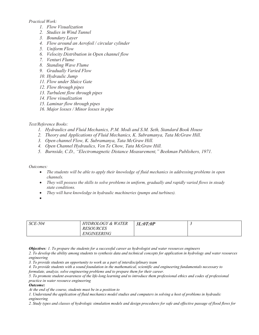#### Practical Work:

- 1. Flow Visualization
- 2. Studies in Wind Tunnel
- 3. Boundary Layer
- 4. Flow around an Aerofoil / circular cylinder
- 5. Uniform Flow
- 6. Velocity Distribution in Open channel flow
- 7. Venturi Flume
- 8. Standing Wave Flume
- 9. Gradually Varied Flow
- 10. Hydraulic Jump
- 11. Flow under Sluice Gate
- 12. Flow through pipes
- 13. Turbulent flow through pipes
- 14. Flow visualization
- 15. Laminar flow through pipes
- 16. Major losses / Minor losses in pipe

#### Text/Reference Books:

- 1. Hydraulics and Fluid Mechanics, P.M. Modi and S.M. Seth, Standard Book House
- 2. Theory and Applications of Fluid Mechanics, K. Subramanya, Tata McGraw Hill.
- 3. Open channel Flow, K. Subramanya, Tata McGraw Hill.
- 4. Open Channel Hydraulics, Ven Te Chow, Tata McGraw Hill.
- 5. Burnside, C.D., "Electromagnetic Distance Measurement," Beekman Publishers, 1971.

#### Outcomes:

- The students will be able to apply their knowledge of fluid mechanics in addressing problems in open channels.
- They will possess the skills to solve problems in uniform, gradually and rapidly varied flows in steady state conditions.
- They will have knowledge in hydraulic machineries (pumps and turbines).
- $\bullet$

| <b>SCE-504</b> | HYDROLOGY & WATER  | 3L:0T:0P |  |
|----------------|--------------------|----------|--|
|                | <b>RESOURCES</b>   |          |  |
|                | <b>ENGINEERING</b> |          |  |

Objectives: 1. To prepare the students for a successful career as hydrologist and water resources engineers

2. To develop the ability among students to synthesis data and technical concepts for application in hydrology and water resources engineering

3. To provide students an opportunity to work as a part of interdisciplinary team

4. To provide students with a sound foundation in the mathematical, scientific and engineering fundamentals necessary to

formulate, analyze, solve engineering problems and to prepare them for their career.

5. To promote student awareness of the life-long learning and to introduce them professional ethics and codes of professional practice in water resource engineering

#### Outcome:

At the end of the course, students must be in a position to

1. Understand the application of fluid mechanics model studies and computers in solving a host of problems in hydraulic engineering

2. Study types and classes of hydrologic simulation models and design procedures for safe and effective passage of flood flows for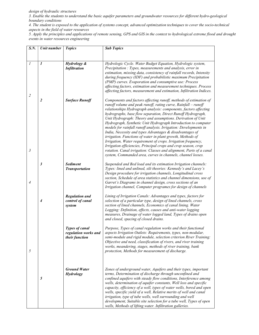design of hydraulic structures

3. Enable the students to understand the basic aquifer parameters and groundwater resources for different hydro-geological boundary conditions

4. The student is exposed to the application of systems concept, advanced optimization techniques to cover the socio-technical aspects in the field of water resources

5. Apply the principles and applications of remote sensing, GPS and GIS in the context to hydrological extreme flood and drought events in water resources engineering

| $S_{\cdot}N_{\cdot}$ | Unit number          | <b>Topics</b>                                            | <b>Sub Topics</b>                                                                                                                                                                                                                                                                                                                                                                                                                                                                                                                                                                                                                                                                                                                                                                                                                                                               |
|----------------------|----------------------|----------------------------------------------------------|---------------------------------------------------------------------------------------------------------------------------------------------------------------------------------------------------------------------------------------------------------------------------------------------------------------------------------------------------------------------------------------------------------------------------------------------------------------------------------------------------------------------------------------------------------------------------------------------------------------------------------------------------------------------------------------------------------------------------------------------------------------------------------------------------------------------------------------------------------------------------------|
|                      |                      |                                                          |                                                                                                                                                                                                                                                                                                                                                                                                                                                                                                                                                                                                                                                                                                                                                                                                                                                                                 |
| $\mathfrak l$        | $\mathbf{I}$         | Hydrology &<br><b>Infiltration</b>                       | Hydrologic Cycle. Water Budget Equation, Hydrologic system,<br>Precipitation: Types, measurements and analysis, error in<br>estimation, missing data, consistency of rainfall records, Intensity<br>during frequency (IDF) and probabilistic maximum Precipitation<br>(PMP) curves. Evaporation and consumptive use: Process<br>affecting factors, estimation and measurement techniques. Process<br>affecting factors, measurement and estimation, Infiltration Indices.                                                                                                                                                                                                                                                                                                                                                                                                       |
| $\overline{2}$<br>3  | $\boldsymbol{2}$     | <b>Surface Runoff</b>                                    | Components and factors affecting runoff, methods of estimation of<br>runoff volume and peak runoff, rating curve, Rainfall - runoff<br>relationships Hydrograph analysis: components, factors affecting<br>hydrographs, base flow separation, Direct Runoff Hydrograph,<br>Unit Hydrograph: Theory and assumptions. Derivation of Unit<br>Hydrograph, Synthetic Unit Hydrograph Introduction to computer<br>models for rainfall runoff analysis. Irrigation: Developments in<br>India, Necessity and types Advantages & disadvantages of<br>irrigation. Functions of water in plant growth, Methods of<br>Irrigation, Water requirement of crops. Irrigation frequency,<br>Irrigation efficiencies, Principal crops and crop season, crop<br>rotation. Canal irrigation: Classes and alignment, Parts of a canal<br>system, Commanded area, curves in channels, channel losses. |
| $\overline{4}$       | $\boldsymbol{\beta}$ | <b>Sediment</b><br><b>Transportation</b>                 | Suspended and Bed load and its estimation Irrigation channels:<br>Types: lined and unlined, silt theories: Kennedy's and Lacey's<br>Design procedure for irrigation channels, Longitudinal cross<br>section, Schedule of area statistics and channel dimensions, use of<br>Garret's Diagrams in channel design, cross sections of an<br>Irrigation channel, Computer programes for design of channels                                                                                                                                                                                                                                                                                                                                                                                                                                                                           |
|                      | $\overline{4}$       | <b>Regulation and</b><br>control of canal<br>system      | Lining of Irrigation Canals: Advantages and types, factors for<br>selection of a particular type, design of lined channels, cross<br>section of lined channels, Economics of canal lining. Water<br>Logging: Definition, effects, causes and anti-water logging<br>measures, Drainage of water logged land, Types of drains open<br>and closed, spacing of closed drains.                                                                                                                                                                                                                                                                                                                                                                                                                                                                                                       |
| 5                    |                      | Types of canal<br>regulation works and<br>their function | Purpose, Types of canal regulation works and their functional<br>aspects Irrigation Outlets: Requirements, types, non-modular,<br>semi-module and rigid module, selection criterion River Training:<br>Objective and need, classification of rivers, and river training<br>works, meandering, stages, methods of river training, bank<br>protection, Methods for measurement of discharge.                                                                                                                                                                                                                                                                                                                                                                                                                                                                                      |
|                      | 5                    | <b>Ground Water</b><br><b>Hydrology</b>                  | Zones of underground water, Aquifers and their types, important<br>terms, Determination of discharge through unconfined and<br>confined aquifers with steady flow conditions, Interference among<br>wells, determination of aquifer constants, Well loss and specific<br>capacity, efficiency of a well, types of water wells, bored and open<br>wells, specific yield of a well, Relative merits of well and canal<br>irrigation, type of tube wells, well surrounding and well<br>development, Suitable site selection for a tube well, Types of open<br>wells, Methods of lifting water. Infiltration galleries.                                                                                                                                                                                                                                                             |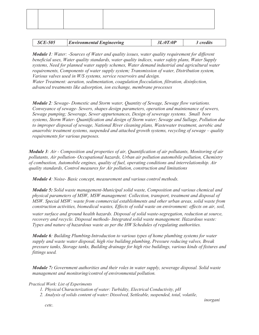| <i>SCE-505</i> | <i><b>Environmental Engineering</b></i> | 3L:0T:0P | 3 credits |
|----------------|-----------------------------------------|----------|-----------|

Module 1: Water: -Sources of Water and quality issues, water quality requirement for different beneficial uses, Water quality standards, water quality indices, water safety plans, Water Supply systems, Need for planned water supply schemes, Water demand industrial and agricultural water requirements, Components of water supply system; Transmission of water, Distribution system, Various valves used in W/S systems, service reservoirs and design.

Water Treatment: aeration, sedimentation, coagulation flocculation, filtration, disinfection, advanced treatments like adsorption, ion exchange, membrane processes

Module 2: Sewage- Domestic and Storm water, Quantity of Sewage, Sewage flow variations. Conveyance of sewage- Sewers, shapes design parameters, operation and maintenance of sewers, Sewage pumping; Sewerage, Sewer appurtenances, Design of sewerage systems. Small bore systems, Storm Water- Quantification and design of Storm water; Sewage and Sullage, Pollution due to improper disposal of sewage, National River cleaning plans, Wastewater treatment, aerobic and anaerobic treatment systems, suspended and attached growth systems, recycling of sewage – quality requirements for various purposes.

**Module 3**: Air - Composition and properties of air, Quantification of air pollutants, Monitoring of air pollutants, Air pollution- Occupational hazards, Urban air pollution automobile pollution, Chemistry of combustion, Automobile engines, quality of fuel, operating conditions and interrelationship. Air quality standards, Control measures for Air pollution, construction and limitations

Module 4: Noise- Basic concept, measurement and various control methods.

Module 5: Solid waste management-Municipal solid waste, Composition and various chemical and physical parameters of MSW, MSW management: Collection, transport, treatment and disposal of MSW. Special MSW: waste from commercial establishments and other urban areas, solid waste from construction activities, biomedical wastes, Effects of solid waste on environment: effects on air, soil,

water surface and ground health hazards. Disposal of solid waste-segregation, reduction at source, recovery and recycle. Disposal methods- Integrated solid waste management. Hazardous waste: Types and nature of hazardous waste as per the HW Schedules of regulating authorities.

Module 6: Building Plumbing-Introduction to various types of home plumbing systems for water supply and waste water disposal, high rise building plumbing, Pressure reducing valves, Break pressure tanks, Storage tanks, Building drainage for high rise buildings, various kinds of fixtures and fittings used.

Module 7: Government authorities and their roles in water supply, sewerage disposal. Solid waste management and monitoring/control of environmental pollution.

Practical Work: List of Experiments

- 1. Physical Characterization of water: Turbidity, Electrical Conductivity, pH
- 2. Analysis of solids content of water: Dissolved, Settleable, suspended, total, volatile,

inorgani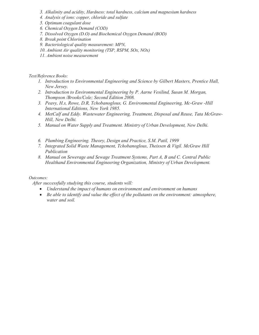- 3. Alkalinity and acidity, Hardness: total hardness, calcium and magnesium hardness
- 4. Analysis of ions: copper, chloride and sulfate
- 5. Optimum coagulant dose
- 6. Chemical Oxygen Demand (COD)
- 7. Dissolved Oxygen (D.O) and Biochemical Oxygen Demand (BOD)
- 8. Break point Chlorination
- 9. Bacteriological quality measurement: MPN,
- 10. Ambient Air quality monitoring (TSP, RSPM, SOx, NOx)
- 11. Ambient noise measurement

#### Text/Reference Books:

- 1. Introduction to Environmental Engineering and Science by Gilbert Masters, Prentice Hall, New Jersey.
- 2. Introduction to Environmental Engineering by P. Aarne Vesilind, Susan M. Morgan, Thompson /Brooks/Cole; Second Edition 2008.
- 3. Peavy, H.s, Rowe, D.R, Tchobanoglous, G. Environmental Engineering, Mc-Graw -Hill International Editions, New York 1985.
- 4. MetCalf and Eddy. Wastewater Engineering, Treatment, Disposal and Reuse, Tata McGraw-Hill, New Delhi.
- 5. Manual on Water Supply and Treatment. Ministry of Urban Development, New Delhi.
- 6. Plumbing Engineering. Theory, Design and Practice, S.M. Patil, 1999
- 7. Integrated Solid Waste Management, Tchobanoglous, Theissen & Vigil. McGraw Hill Publication
- 8. Manual on Sewerage and Sewage Treatment Systems, Part A, B and C. Central Public Healthand Environmental Engineering Organization, Ministry of Urban Development.

#### Outcomes:

After successfully studying this course, students will:

- Understand the impact of humans on environment and environment on humans
- Be able to identify and value the effect of the pollutants on the environment: atmosphere, water and soil.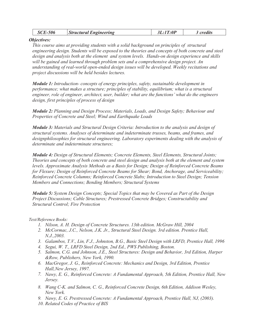|  | <b>SCE-506</b> | $\left \mathit{Structural Engineering}\right $ | J.L.1T:0P | <i>s</i> credits |
|--|----------------|------------------------------------------------|-----------|------------------|
|--|----------------|------------------------------------------------|-----------|------------------|

#### Objectives:

This course aims at providing students with a solid background on principles of structural engineering design. Students will be exposed to the theories and concepts of both concrete and steel design and analysis both at the element and system levels. Hands-on design experience and skills will be gained and learned through problem sets and a comprehensive design project. An understanding of real-world open-ended design issues will be developed. Weekly recitations and project discussions will be held besides lectures.

Module 1: Introduction- concepts of energy principles, safety, sustainable development in performance; what makes a structure; principles of stability, equilibrium; what is a structural engineer, role of engineer, architect, user, builder; what are the functions' what do the engineers design, first principles of process of design

Module 2: Planning and Design Process; Materials, Loads, and Design Safety; Behaviour and Properties of Concrete and Steel; Wind and Earthquake Loads

Module 3: Materials and Structural Design Criteria: Introduction to the analysis and design of structural systems. Analyses of determinate and indeterminate trusses, beams, and frames, and design philosophies for structural engineering. Laboratory experiments dealing with the analysis of determinate and indeterminate structures;

Module 4: Design of Structural Elements; Concrete Elements, Steel Elements, Structural Joints; Theories and concepts of both concrete and steel design and analysis both at the element and system levels. Approximate Analysis Methods as a Basis for Design; Design of Reinforced Concrete Beams for Flexure; Design of Reinforced Concrete Beams for Shear; Bond, Anchorage, and Serviceability; Reinforced Concrete Columns; Reinforced Concrete Slabs; Introduction to Steel Design; Tension Members and Connections; Bending Members; Structural Systems

Module 5: System Design Concepts; Special Topics that may be Covered as Part of the Design Project Discussions; Cable Structures; Prestressed Concrete Bridges; Constructability and Structural Control; Fire Protection

#### Text/Reference Books:

- 1. Nilson, A. H. Design of Concrete Structures. 13th edition. McGraw Hill, 2004
- 2. McCormac, J.C., Nelson, J.K. Jr., Structural Steel Design. 3rd edition. Prentice Hall, N.J., 2003.
- 3. Galambos, T.V., Lin, F.J., Johnston, B.G., Basic Steel Design with LRFD, Prentice Hall, 1996
- 4. Segui, W. T., LRFD Steel Design, 2nd Ed., PWS Publishing, Boston.
- 5. Salmon, C.G. and Johnson, J.E., Steel Structures: Design and Behavior, 3rd Edition, Harper & Row, Publishers, New York, 1990.
- 6. MacGregor, J. G., Reinforced Concrete: Mechanics and Design, 3rd Edition, Prentice Hall, New Jersey, 1997.
- 7. Nawy, E. G., Reinforced Concrete: A Fundamental Approach, 5th Edition, Prentice Hall, New Jersey.
- 8. Wang C-K. and Salmon, C. G., Reinforced Concrete Design, 6th Edition, Addison Wesley, New York.
- 9. Nawy, E. G. Prestressed Concrete: A Fundamental Approach, Prentice Hall, NJ, (2003).
- 10. Related Codes of Practice of BIS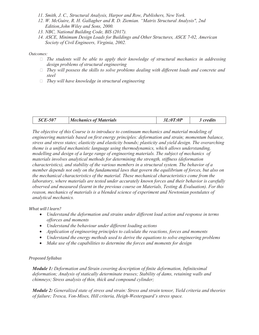- 11. Smith, J. C., Structural Analysis, Harpor and Row, Publishers, New York.
- 12. W. McGuire, R. H. Gallagher and R. D. Ziemian. "Matrix Structural Analysis", 2nd Edition, John Wiley and Sons, 2000.
- 13. NBC, National Building Code, BIS (2017).
- 14. ASCE, Minimum Design Loads for Buildings and Other Structures, ASCE 7-02, American Society of Civil Engineers, Virginia, 2002.

#### Outcomes:

- $\Box$  The students will be able to apply their knowledge of structural mechanics in addressing design problems of structural engineering
- $\Box$  They will possess the skills to solve problems dealing with different loads and concrete and steel
- $\Box$  They will have knowledge in structural engineering

| <b>SCE-507</b><br><b>Mechanics of Materials</b> | 3L:0T:0P | 3 credits |
|-------------------------------------------------|----------|-----------|
|-------------------------------------------------|----------|-----------|

The objective of this Course is to introduce to continuum mechanics and material modeling of engineering materials based on first energy principles: deformation and strain; momentum balance, stress and stress states; elasticity and elasticity bounds; plasticity and yield design. The overarching theme is a unified mechanistic language using thermodynamics, which allows understanding, modelling and design of a large range of engineering materials. The subject of mechanics of materials involves analytical methods for determining the strength, stiffness (deformation characteristics), and stability of the various members in a structural system. The behavior of a member depends not only on the fundamental laws that govern the equilibrium of forces, but also on the mechanical characteristics of the material. These mechanical characteristics come from the laboratory, where materials are tested under accurately known forces and their behavior is carefully observed and measured (learnt in the previous course on Materials, Testing & Evaluation). For this reason, mechanics of materials is a blended science of experiment and Newtonian postulates of analytical mechanics.

What will I learn?

- Understand the deformation and strains under different load action and response in terms offorces and moments
- Understand the behaviour under different loading actions
- Application of engineering principles to calculate the reactions, forces and moments
- Understand the energy methods used to derive the equations to solve engineering problems
- Make use of the capabilities to determine the forces and moments for design

#### Proposed Syllabus

Module 1: Deformation and Strain covering description of finite deformation, Infinitesimal deformation; Analysis of statically determinate trusses; Stability of dams, retaining walls and chimneys; Stress analysis of thin, thick and compound cylinder;

Module 2: Generalized state of stress and strain: Stress and strain tensor, Yield criteria and theories of failure; Tresca, Von-Mises, Hill criteria, Heigh-Westerguard's stress space.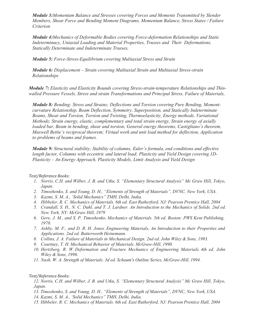Module 3:Momentum Balance and Stresses covering Forces and Moments Transmitted by Slender Members, Shear Force and Bending Moment Diagrams, Momentum Balance, Stress States / Failure **Criterion** 

Module 4:Mechanics of Deformable Bodies covering Force-deformation Relationships and Static Indeterminacy, Uniaxial Loading and Material Properties, Trusses and Their Deformations, Statically Determinate and Indeterminate Trusses,

Module 5: Force-Stress-Equilibrium covering Multiaxial Stress and Strain

Module 6: Displacement – Strain covering Multiaxial Strain and Multiaxial Stress-strain Relationships

Module 7: Elasticity and Elasticity Bounds covering Stress-strain-temperature Relationships and Thinwalled Pressure Vessels, Stress and strain Transformations and Principal Stress, Failure of Materials,

Module 8: Bending: Stress and Strains; Deflections and Torsion covering Pure Bending, Momentcurvature Relationship, Beam Deflection, Symmetry, Superposition, and Statically Indeterminate Beams, Shear and Torsion, Torsion and Twisting, Thermoelasticity, Energy methods, Variational Methods; Strain energy, elastic, complementary and total strain energy, Strain energy of axially loaded bar, Beam in bending, shear and torsion; General energy theorems, Castigliano's theorem, Maxwell Bettie's reciprocal theorem; Virtual work and unit load method for deflection, Application to problems of beams and frames.

Module 9: Structural stability; Stability of columns, Euler's formula, end conditions and effective length factor, Columns with eccentric and lateral load; Plasticity and Yield Design covering 1D-Plasticity – An Energy Approach, Plasticity Models, Limit Analysis and Yield Design

#### Text/Reference Books:

- 1. Norris, C.H. and Wilber, J. B. and Utku, S. "Elementary Structural Analysis" Mc Graw Hill, Tokyo, Japan.
- 2. Timoshenko, S. and Young, D. H., "Elements of Strength of Materials", DVNC, New York, USA.
- 3. Kazmi, S. M. A., 'Solid Mechanics" TMH, Delhi, India.
- 4. Hibbeler, R. C. Mechanics of Materials. 6th ed. East Rutherford, NJ: Pearson Prentice Hall, 2004
- 5. Crandall, S. H., N. C. Dahl, and T. J. Lardner. An Introduction to the Mechanics of Solids. 2nd ed. New York, NY: McGraw Hill, 1979
- 6. Gere, J. M., and S. P. Timoshenko. Mechanics of Materials. 5th ed. Boston: PWS Kent Publishing, 1970.
- 7. Ashby, M. F., and D. R. H. Jones. Engineering Materials, An Introduction to their Properties and Applications. 2nd ed. Butterworth Heinemann.
- 8. Collins, J. A. Failure of Materials in Mechanical Design. 2nd ed. John Wiley & Sons, 1993.
- 9. Courtney, T. H. Mechanical Behavior of Materials. McGraw-Hill, 1990.
- 10. Hertzberg, R. W. Deformation and Fracture Mechanics of Engineering Materials. 4th ed. John Wiley & Sons, 1996.
- 11. Nash, W. A. Strength of Materials. 3d ed. Schaum's Outline Series, McGraw-Hill, 1994.

Text/Reference Books:

- 12. Norris, C.H. and Wilber, J. B. and Utku, S. "Elementary Structural Analysis" Mc Graw Hill, Tokyo, Japan.
- 13. Timoshenko, S. and Young, D. H., "Elements of Strength of Materials", DVNC, New York, USA.
- 14. Kazmi, S. M. A., 'Solid Mechanics" TMH, Delhi, India.
- 15. Hibbeler, R. C. Mechanics of Materials. 6th ed. East Rutherford, NJ: Pearson Prentice Hall, 2004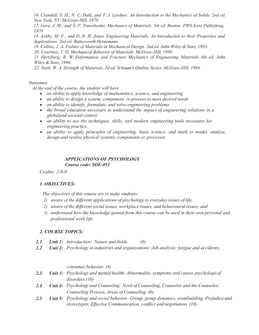16. Crandall, S. H., N. C. Dahl, and T. J. Lardner. An Introduction to the Mechanics of Solids. 2nd ed. New York, NY: McGraw Hill, 1979

17. Gere, J. M., and S. P. Timoshenko. Mechanics of Materials. 5th ed. Boston: PWS Kent Publishing, 1970.

18 .Ashby, M. F., and D. R. H. Jones. Engineering Materials, An Introduction to their Properties and Applications. 2nd ed. Butterworth Heinemann.

19 .Collins, J. A. Failure of Materials in Mechanical Design. 2nd ed. John Wiley & Sons, 1993.

20. Courtney, T. H. Mechanical Behavior of Materials. McGraw-Hill, 1990.

21. Hertzberg, R. W. Deformation and Fracture Mechanics of Engineering Materials. 4th ed. John Wiley & Sons, 1996.

22. Nash, W. A. Strength of Materials. 3d ed. Schaum's Outline Series, McGraw-Hill, 1994.

#### Outcomes:

At the end of the course, the student will have

- an ability to apply knowledge of mathematics, science, and engineering
- an ability to design a system, component, or process to meet desired needs
- an ability to identify, formulate, and solve engineering problems
- $\bullet$  the broad education necessary to understand the impact of engineering solutions in a globaland societal context
- an ability to use the techniques, skills, and modern engineering tools necessary for engineering practice.
- an ability to apply principles of engineering, basic science, and math to model, analyze, design and realize physical systems, components or processes

#### APPLICATIONS OF PSYCHOLOGY Course code: SOE-051

Credits: 2-0-0

#### 1. OBJECTIVES:

The objectives of this course are to make students:

- 1) aware of the different applications of psychology to everyday issues of life,
- 2) aware of the different social issues, workplace issues, and behavioural issues, and
- 3) understand how the knowledge gained from this course can be used in their own personal and professional work life.

#### 2. COURSE TOPICS:

- 2.1 **Unit 1:** Introduction: Nature and fields. (6)
- 2.2 Unit 2: Psychology in industries and organizations: Job analysis; fatigue and accidents;

consumer behavior. (8)

- 2.3 Unit 3: Psychology and mental health: Abnormality, symptoms and causes psychological disorders.(10)
- 2.4 Unit 4: Psychology and Counseling: Need of Counseling, Counselor and the Counselee, Counseling Process, Areas of Counseling. (6)
- 2.5 Unit 5: Psychology and social behavior: Group, group dynamics, teambuilding, Prejudice and stereotypes; Effective Communication, conflict and negotiation. (10)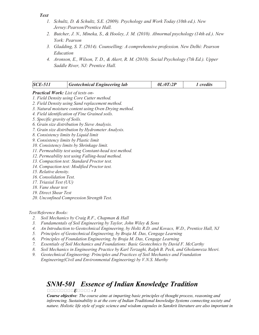#### Text

- 1. Schultz, D. & Schultz, S.E. (2009). Psychology and Work Today (10th ed.). New Jersey:Pearson/Prentice Hall.
- 2. Butcher, J. N., Mineka, S., & Hooley, J. M. (2010). Abnormal psychology (14th ed.). New York: Pearson
- 3. Gladding, S. T. (2014). Counselling: A comprehensive profession. New Delhi: Pearson Education
- 4. Aronson, E., Wilson, T. D., & Akert, R. M. (2010). Social Psychology (7th Ed.). Upper Saddle River, NJ: Prentice Hall.

| <b>SCE-511</b><br>0L:0T:2P<br>Geotechnical Engineering lab<br>1 credits |
|-------------------------------------------------------------------------|
|-------------------------------------------------------------------------|

#### Practical Work: List of tests on-

- 1. Field Density using Core Cutter method.
- 2. Field Density using Sand replacement method.
- 3. Natural moisture content using Oven Drying method.
- 4. Field identification of Fine Grained soils.
- 5. Specific gravity of Soils.
- 6. Grain size distribution by Sieve Analysis.
- 7. Grain size distribution by Hydrometer Analysis.
- 8. Consistency limits by Liquid limit
- 9. Consistency limits by Plastic limit
- 10. Consistency limits by Shrinkage limit.
- 11. Permeability test using Constant-head test method.
- 12. Permeability test using Falling-head method.
- 13. Compaction test: Standard Proctor test.
- 14. Compaction test: Modified Proctor test.
- 15. Relative density.
- 16. Consolidation Test.
- 17. Triaxial Test (UU)
- 18. Vane shear test
- 19. Direct Shear Test
- 20. Unconfined Compression Strength Test.

#### Text/Reference Books:

- 2. Soil Mechanics by Craig R.F., Chapman & Hall
- 3. Fundamentals of Soil Engineering by Taylor, John Wiley & Sons
- 4. An Introduction to Geotechnical Engineering, by Holtz R.D. and Kovacs, W.D., Prentice Hall, NJ
- 5. Principles of Geotechnical Engineering, by Braja M. Das, Cengage Learning
- 6. Principles of Foundation Engineering, by Braja M. Das, Cengage Learning
- 7. Essentials of Soil Mechanics and Foundations: Basic Geotechnics by David F. McCarthy
- 8. Soil Mechanics in Engineering Practice by Karl Terzaghi, Ralph B. Peck, and Gholamreza Mesri.
- 9. Geotechnical Engineering: Principles and Practices of Soil Mechanics and Foundation Engineering (Civil and Environmental Engineering) by V.N.S. Murthy

### SNM-501 Essence of Indian Knowledge Tradition

#### $\Box \Box \Box \Box \Box \Box \Box \Box \text{ } \textcolor{red}{\mathbf{E}} \Box \Box \Box \textcolor{red}{\mathbf{E}} \textcolor{red}{\mathbf{-1}} \textcolor{red}{\mathbf{-1}}$

Course objective: The course aims at imparting basic principles of thought process, reasoning and inferencing. Sustainability is at the core of Indian Traditional knowledge Systems connecting society and nature. Holistic life style of yogic science and wisdom capsules in Sanskrit literature are also important in